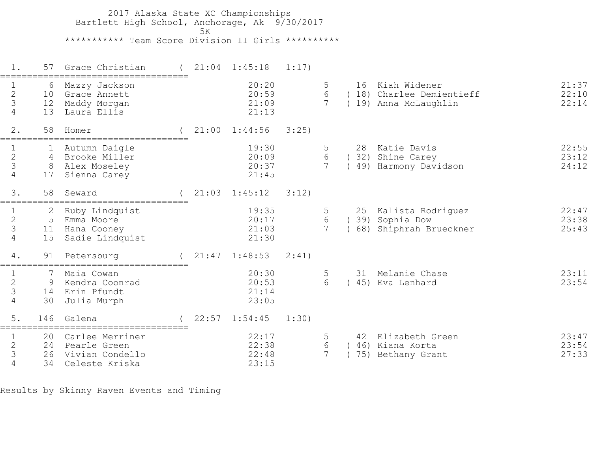2017 Alaska State XC Championships Bartlett High School, Anchorage, Ak 9/30/2017  $5K$  \*\*\*\*\*\*\*\*\*\*\* Team Score Division II Girls \*\*\*\*\*\*\*\*\*\* 1. 57 Grace Christian ( 21:04 1:45:18 1:17) =================================== 1 6 Mazzy Jackson 20:20 5 16 Kiah Widener 21:37 2 10 Grace Annett 20:59 6 ( 18) Charlee Demientieff 22:10 3 12 Maddy Morgan 21:09 7 ( 19) Anna McLaughlin 22:14 4 13 Laura Ellis 21:13 2. 58 Homer ( 21:00 1:44:56 3:25) =================================== 1 1 Autumn Daigle 19:30 5 28 Katie Davis 22:55 2 4 Brooke Miller 20:09 6 ( 32) Shine Carey 23:12 3 8 Alex Moseley 20:37 7 ( 49) Harmony Davidson 24:12 1 1 Autumn Daigle<br>
2 4 Brooke Miller<br>
3 8 Alex Moseley<br>
4 17 Sienna Carey 3. 58 Seward ( 21:03 1:45:12 3:12) =================================== 1 2 Ruby Lindquist 19:35 5 25 Kalista Rodriguez 22:47 2 5 Emma Moore 20:17 6 ( 39) Sophia Dow 23:38 3 11 Hana Cooney 21:03 7 ( 68) Shiphrah Brueckner 25:43 1 2 Ruby Lindquist<br>
2 5 Emma Moore<br>
3 11 Hana Cooney<br>
4 15 Sadie Lindquist 4. 91 Petersburg ( 21:47 1:48:53 2:41) =================================== 1 7 Maia Cowan 20:30 5 31 Melanie Chase 23:11 20:53 6 ( 45) Eva Lenhard<br>21:14 1 1 7 Maia Cowan 20:30<br>
2 9 Kendra Coonrad 20:53<br>
3 14 Erin Pfundt 21:14<br>
4 30 Julia Murph 23:05 4 30 Julia Murph 5. 146 Galena ( 22:57 1:54:45 1:30) =================================== 1 20 Carlee Merriner 22:17 5 42 Elizabeth Green 23:47 2 24 Pearle Green 22:38 6 ( 46) Kiana Korta 23:54 3 26 Vivian Condello 22:48 7 ( 75) Bethany Grant 27:33 4 34 Celeste Kriska 23:15

Results by Skinny Raven Events and Timing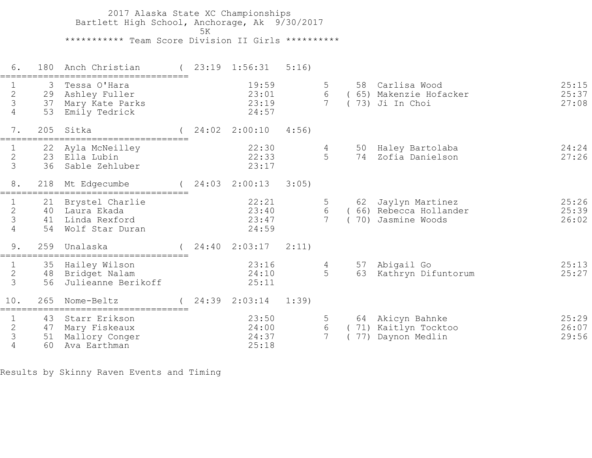2017 Alaska State XC Championships Bartlett High School, Anchorage, Ak 9/30/2017  $5K$  \*\*\*\*\*\*\*\*\*\*\* Team Score Division II Girls \*\*\*\*\*\*\*\*\*\* 6. 180 Anch Christian ( 23:19 1:56:31 5:16) =================================== 1 3 Tessa O'Hara 19:59 5 58 Carlisa Wood 25:15 2 29 Ashley Fuller 23:01 6 ( 65) Makenzie Hofacker 25:37 3 37 Mary Kate Parks 23:19 7 ( 73) Ji In Choi 27:08 4 53 Emily Tedrick 24:57 7. 205 Sitka ( 24:02 2:00:10 4:56) =================================== 1 22 Ayla McNeilley 22:30 4 50 Haley Bartolaba 24:24 2 23 Ella Lubin 22:33 5 74 Zofia Danielson 27:26 1 22 Ayla McNeilley 22:30<br>2 23 Ella Lubin 22:33<br>3 36 Sable Zehluber 23:17 8. 218 Mt Edgecumbe ( 24:03 2:00:13 3:05) =================================== 1 21 Brystel Charlie 22:21 5 62 Jaylyn Martinez 25:26 2 40 Laura Ekada 23:40 6 ( 66) Rebecca Hollander 25:39 3 41 Linda Rexford 23:47 7 ( 70) Jasmine Woods 26:02 4 54 Wolf Star Duran 24:59 9. 259 Unalaska ( 24:40 2:03:17 2:11) =================================== 1 35 Hailey Wilson 23:16 4 57 Abigail Go 25:13 2 48 Bridget Nalam 24:10 5 63 Kathryn Difuntorum 25:27 3 56 Julieanne Berikoff 25:11 10. 265 Nome-Beltz ( 24:39 2:03:14 1:39) =================================== 1 43 Starr Erikson 23:50 5 64 Akicyn Bahnke 25:29 2 47 Mary Fiskeaux 24:00 6 ( 71) Kaitlyn Tocktoo 26:07 3 51 Mallory Conger 24:37 7 ( 77) Daynon Medlin 29:56 1 43 Starr Erikson<br>2 47 Mary Fiskeaux<br>3 51 Mallory Conger<br>4 60 Ava Earthman

Results by Skinny Raven Events and Timing